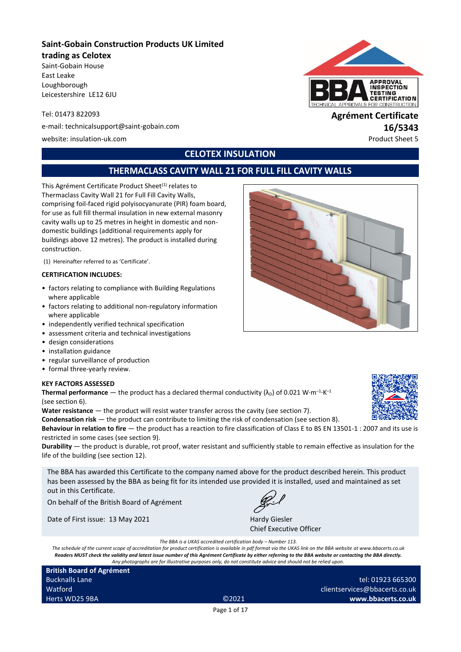# **Saint-Gobain Construction Products UK Limited**

#### **trading as Celotex**

Saint-Gobain House East Leake Loughborough Leicestershire LE12 6JU

e-mail: technicalsupport@saint-gobain.com **16/5343**

website: insulation-uk.com **Product Sheet 5** and the extension of the extension of the extension of the extension of the extension of the extension of the extension of the extension of the extension of the extension of the

# **PPROVAL NSPECTION TING CERTIFICATION** ALS FOR CONSTRUCT

# Tel: 01473 822093 **Agrément Certificate**

# **CELOTEX INSULATION**

# **THERMACLASS CAVITY WALL 21 FOR FULL FILL CAVITY WALLS**

This Agrément Certificate Product Sheet<sup>(1)</sup> relates to Thermaclass Cavity Wall 21 for Full Fill Cavity Walls, comprising foil-faced rigid polyisocyanurate (PIR) foam board, for use as full fill thermal insulation in new external masonry cavity walls up to 25 metres in height in domestic and nondomestic buildings (additional requirements apply for buildings above 12 metres). The product is installed during construction.

(1) Hereinafter referred to as 'Certificate'.

#### **CERTIFICATION INCLUDES:**

- factors relating to compliance with Building Regulations where applicable
- factors relating to additional non-regulatory information where applicable
- independently verified technical specification
- assessment criteria and technical investigations
- design considerations
- installation guidance
- regular surveillance of production
- formal three-yearly review.

#### **KEY FACTORS ASSESSED**

**Thermal performance**  $-$  the product has a declared thermal conductivity ( $\lambda_{\text{D}}$ ) of 0.021 W·m<sup>-1</sup>·K<sup>-1</sup> (see section 6).

Water resistance — the product will resist water transfer across the cavity (see section 7).

**Condensation risk** — the product can contribute to limiting the risk of condensation (see section 8). **Behaviour in relation to fire** — the product has a reaction to fire classification of Class E to BS EN 13501-1 : 2007 and its use is restricted in some cases (see section 9).

**Durability** — the product is durable, rot proof, water resistant and sufficiently stable to remain effective as insulation for the life of the building (see section 12).

The BBA has awarded this Certificate to the company named above for the product described herein. This product has been assessed by the BBA as being fit for its intended use provided it is installed, used and maintained as set out in this Certificate.

On behalf of the British Board of Agrément

Date of First issue: 13 May 2021 Hardy Giesler

Chief Executive Officer

*The BBA is a UKAS accredited certification body – Number 113.*

*The schedule of the current scope of accreditation for product certification is available in pdf format via the UKAS link on the BBA website at www.bbacerts.co.uk Readers MUST check the validity and latest issue number of this Agrément Certificate by either referring to the BBA website or contacting the BBA directly. Any photographs are for illustrative purposes only, do not constitute advice and should not be relied upon.*

**British Board of Agrément** Bucknalls Lane Watford Herts WD25 9BA ©2021

tel: 01923 665300 clientservices@bbacerts.co.uk **www.bbacerts.co.uk**

Page 1 of 17



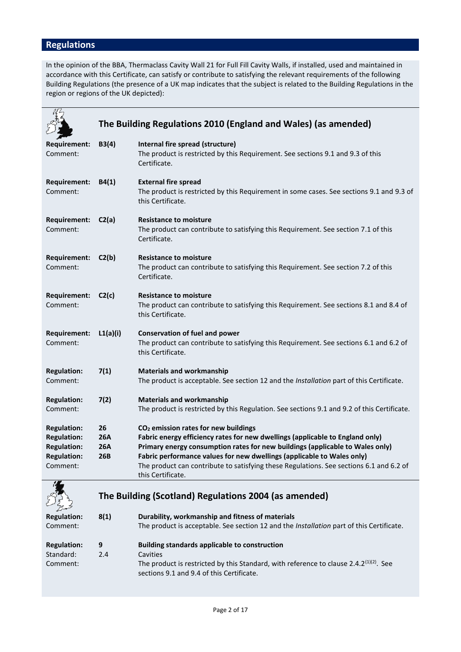# **Regulations**

In the opinion of the BBA, Thermaclass Cavity Wall 21 for Full Fill Cavity Walls, if installed, used and maintained in accordance with this Certificate, can satisfy or contribute to satisfying the relevant requirements of the following Building Regulations (the presence of a UK map indicates that the subject is related to the Building Regulations in the region or regions of the UK depicted):

|                                                                                                  |                                       | The Building Regulations 2010 (England and Wales) (as amended)                                                                                                                                                                                                                                                                                                                                               |
|--------------------------------------------------------------------------------------------------|---------------------------------------|--------------------------------------------------------------------------------------------------------------------------------------------------------------------------------------------------------------------------------------------------------------------------------------------------------------------------------------------------------------------------------------------------------------|
| Requirement:<br>Comment:                                                                         | B3(4)                                 | Internal fire spread (structure)<br>The product is restricted by this Requirement. See sections 9.1 and 9.3 of this<br>Certificate.                                                                                                                                                                                                                                                                          |
| Requirement:<br>Comment:                                                                         | B4(1)                                 | <b>External fire spread</b><br>The product is restricted by this Requirement in some cases. See sections 9.1 and 9.3 of<br>this Certificate.                                                                                                                                                                                                                                                                 |
| <b>Requirement:</b><br>Comment:                                                                  | C2(a)                                 | <b>Resistance to moisture</b><br>The product can contribute to satisfying this Requirement. See section 7.1 of this<br>Certificate.                                                                                                                                                                                                                                                                          |
| Requirement:<br>Comment:                                                                         | C2(b)                                 | <b>Resistance to moisture</b><br>The product can contribute to satisfying this Requirement. See section 7.2 of this<br>Certificate.                                                                                                                                                                                                                                                                          |
| <b>Requirement:</b><br>Comment:                                                                  | C2(c)                                 | <b>Resistance to moisture</b><br>The product can contribute to satisfying this Requirement. See sections 8.1 and 8.4 of<br>this Certificate.                                                                                                                                                                                                                                                                 |
| Requirement:<br>Comment:                                                                         | L1(a)(i)                              | <b>Conservation of fuel and power</b><br>The product can contribute to satisfying this Requirement. See sections 6.1 and 6.2 of<br>this Certificate.                                                                                                                                                                                                                                                         |
| <b>Regulation:</b><br>Comment:                                                                   | 7(1)                                  | <b>Materials and workmanship</b><br>The product is acceptable. See section 12 and the Installation part of this Certificate.                                                                                                                                                                                                                                                                                 |
| <b>Regulation:</b><br>Comment:                                                                   | 7(2)                                  | <b>Materials and workmanship</b><br>The product is restricted by this Regulation. See sections 9.1 and 9.2 of this Certificate.                                                                                                                                                                                                                                                                              |
| <b>Regulation:</b><br><b>Regulation:</b><br><b>Regulation:</b><br><b>Regulation:</b><br>Comment: | 26<br><b>26A</b><br><b>26A</b><br>26B | CO <sub>2</sub> emission rates for new buildings<br>Fabric energy efficiency rates for new dwellings (applicable to England only)<br>Primary energy consumption rates for new buildings (applicable to Wales only)<br>Fabric performance values for new dwellings (applicable to Wales only)<br>The product can contribute to satisfying these Regulations. See sections 6.1 and 6.2 of<br>this Certificate. |



# **The Building (Scotland) Regulations 2004 (as amended)**

| <b>Regulation:</b><br>8(1)<br>Comment: |     | Durability, workmanship and fitness of materials<br>The product is acceptable. See section 12 and the Installation part of this Certificate.    |
|----------------------------------------|-----|-------------------------------------------------------------------------------------------------------------------------------------------------|
| <b>Regulation:</b>                     | 9   | Building standards applicable to construction                                                                                                   |
| Standard:                              | 2.4 | Cavities                                                                                                                                        |
| Comment:                               |     | The product is restricted by this Standard, with reference to clause 2.4.2 <sup>(1)(2)</sup> . See<br>sections 9.1 and 9.4 of this Certificate. |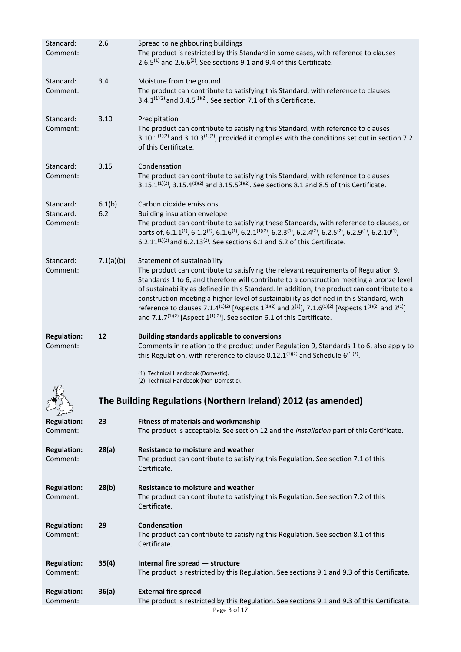| Standard:<br>Comment:              | 2.6           | Spread to neighbouring buildings<br>The product is restricted by this Standard in some cases, with reference to clauses<br>$2.6.5^{(1)}$ and $2.6.6^{(2)}$ . See sections 9.1 and 9.4 of this Certificate.                                                                                                                                                                                                                                                                                                                                                                                                                                                                            |
|------------------------------------|---------------|---------------------------------------------------------------------------------------------------------------------------------------------------------------------------------------------------------------------------------------------------------------------------------------------------------------------------------------------------------------------------------------------------------------------------------------------------------------------------------------------------------------------------------------------------------------------------------------------------------------------------------------------------------------------------------------|
| Standard:<br>Comment:              | 3.4           | Moisture from the ground<br>The product can contribute to satisfying this Standard, with reference to clauses<br>3.4.1(1)(2) and 3.4.5(1)(2). See section 7.1 of this Certificate.                                                                                                                                                                                                                                                                                                                                                                                                                                                                                                    |
| Standard:<br>Comment:              | 3.10          | Precipitation<br>The product can contribute to satisfying this Standard, with reference to clauses<br>$3.10.1^{(1)(2)}$ and $3.10.3^{(1)(2)}$ , provided it complies with the conditions set out in section 7.2<br>of this Certificate.                                                                                                                                                                                                                                                                                                                                                                                                                                               |
| Standard:<br>Comment:              | 3.15          | Condensation<br>The product can contribute to satisfying this Standard, with reference to clauses<br>3.15.1 <sup>(1)(2)</sup> , 3.15.4 <sup>(1)(2)</sup> and 3.15.5 <sup>(1)(2)</sup> . See sections 8.1 and 8.5 of this Certificate.                                                                                                                                                                                                                                                                                                                                                                                                                                                 |
| Standard:<br>Standard:<br>Comment: | 6.1(b)<br>6.2 | Carbon dioxide emissions<br>Building insulation envelope<br>The product can contribute to satisfying these Standards, with reference to clauses, or<br>parts of, 6.1.1 <sup>(1)</sup> , 6.1.2 <sup>(2)</sup> , 6.1.6 <sup>(1)</sup> , 6.2.1 <sup>(1)</sup> (2), 6.2.3 <sup>(1)</sup> , 6.2.4 <sup>(2)</sup> , 6.2.5 <sup>(2)</sup> , 6.2.9 <sup>(1)</sup> , 6.2.10 <sup>(1)</sup> ,<br>6.2.11 $(1)(2)$ and 6.2.13 $(2)$ . See sections 6.1 and 6.2 of this Certificate.                                                                                                                                                                                                               |
| Standard:<br>Comment:              | 7.1(a)(b)     | Statement of sustainability<br>The product can contribute to satisfying the relevant requirements of Regulation 9,<br>Standards 1 to 6, and therefore will contribute to a construction meeting a bronze level<br>of sustainability as defined in this Standard. In addition, the product can contribute to a<br>construction meeting a higher level of sustainability as defined in this Standard, with<br>reference to clauses 7.1.4 <sup>(1)(2)</sup> [Aspects 1 <sup>(1)(2)</sup> and 2 <sup>(1)</sup> ], 7.1.6 <sup>(1)(2)</sup> [Aspects 1 <sup>(1)(2)</sup> and 2 <sup>(1)</sup> ]<br>and 7.1.7 <sup>(1)(2)</sup> [Aspect $1^{(1)(2)}$ ]. See section 6.1 of this Certificate. |
| <b>Regulation:</b><br>Comment:     | 12            | <b>Building standards applicable to conversions</b><br>Comments in relation to the product under Regulation 9, Standards 1 to 6, also apply to<br>this Regulation, with reference to clause 0.12.1 $^{(1)(2)}$ and Schedule 6 $^{(1)(2)}$ .                                                                                                                                                                                                                                                                                                                                                                                                                                           |
|                                    |               | (1) Technical Handbook (Domestic).<br>(2) Technical Handbook (Non-Domestic).                                                                                                                                                                                                                                                                                                                                                                                                                                                                                                                                                                                                          |
|                                    |               | The Building Regulations (Northern Ireland) 2012 (as amended)                                                                                                                                                                                                                                                                                                                                                                                                                                                                                                                                                                                                                         |
| <b>Regulation:</b><br>Comment:     | 23            | <b>Fitness of materials and workmanship</b><br>The product is acceptable. See section 12 and the Installation part of this Certificate.                                                                                                                                                                                                                                                                                                                                                                                                                                                                                                                                               |
| <b>Regulation:</b><br>Comment:     |               |                                                                                                                                                                                                                                                                                                                                                                                                                                                                                                                                                                                                                                                                                       |
|                                    | 28(a)         | <b>Resistance to moisture and weather</b><br>The product can contribute to satisfying this Regulation. See section 7.1 of this<br>Certificate.                                                                                                                                                                                                                                                                                                                                                                                                                                                                                                                                        |
| <b>Regulation:</b><br>Comment:     | 28(b)         | Resistance to moisture and weather<br>The product can contribute to satisfying this Regulation. See section 7.2 of this<br>Certificate.                                                                                                                                                                                                                                                                                                                                                                                                                                                                                                                                               |
| <b>Regulation:</b><br>Comment:     | 29            | Condensation<br>The product can contribute to satisfying this Regulation. See section 8.1 of this<br>Certificate.                                                                                                                                                                                                                                                                                                                                                                                                                                                                                                                                                                     |
| <b>Regulation:</b><br>Comment:     | 35(4)         | Internal fire spread - structure<br>The product is restricted by this Regulation. See sections 9.1 and 9.3 of this Certificate.                                                                                                                                                                                                                                                                                                                                                                                                                                                                                                                                                       |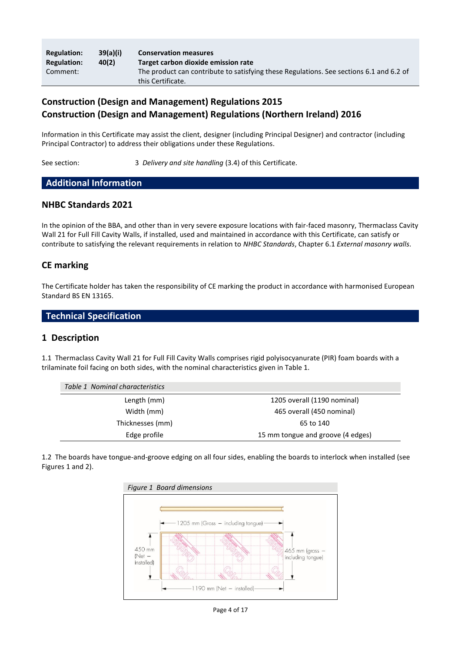| <b>Regulation:</b> | 39(a)(i) | <b>Conservation measures</b>                                                                                 |
|--------------------|----------|--------------------------------------------------------------------------------------------------------------|
| <b>Regulation:</b> | 40(2)    | Target carbon dioxide emission rate                                                                          |
| Comment:           |          | The product can contribute to satisfying these Regulations. See sections 6.1 and 6.2 of<br>this Certificate. |

# **Construction (Design and Management) Regulations 2015 Construction (Design and Management) Regulations (Northern Ireland) 2016**

Information in this Certificate may assist the client, designer (including Principal Designer) and contractor (including Principal Contractor) to address their obligations under these Regulations.

See section: 3 *Delivery and site handling* (3.4) of this Certificate.

# **Additional Information**

#### **NHBC Standards 2021**

In the opinion of the BBA, and other than in very severe exposure locations with fair-faced masonry, Thermaclass Cavity Wall 21 for Full Fill Cavity Walls, if installed, used and maintained in accordance with this Certificate, can satisfy or contribute to satisfying the relevant requirements in relation to *NHBC Standards*, Chapter 6.1 *External masonry walls*.

## **CE marking**

The Certificate holder has taken the responsibility of CE marking the product in accordance with harmonised European Standard BS EN 13165.

#### **Technical Specification**

#### **1 Description**

1.1 Thermaclass Cavity Wall 21 for Full Fill Cavity Walls comprises rigid polyisocyanurate (PIR) foam boards with a trilaminate foil facing on both sides, with the nominal characteristics given in Table 1.

| Table 1 Nominal characteristics |                                   |
|---------------------------------|-----------------------------------|
| Length (mm)                     | 1205 overall (1190 nominal)       |
| Width (mm)                      | 465 overall (450 nominal)         |
| Thicknesses (mm)                | 65 to 140                         |
| Edge profile                    | 15 mm tongue and groove (4 edges) |

1.2 The boards have tongue-and-groove edging on all four sides, enabling the boards to interlock when installed (see Figures 1 and 2).



Page 4 of 17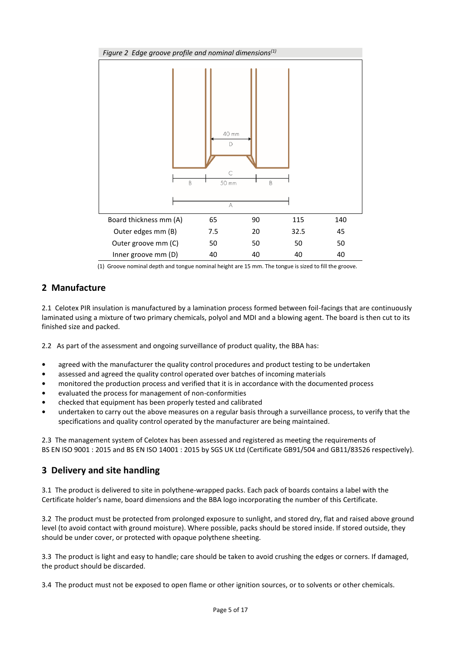

(1) Groove nominal depth and tongue nominal height are 15 mm. The tongue is sized to fill the groove.

# **2 Manufacture**

2.1 Celotex PIR insulation is manufactured by a lamination process formed between foil-facings that are continuously laminated using a mixture of two primary chemicals, polyol and MDI and a blowing agent. The board is then cut to its finished size and packed.

2.2 As part of the assessment and ongoing surveillance of product quality, the BBA has:

- **•** agreed with the manufacturer the quality control procedures and product testing to be undertaken
- **•** assessed and agreed the quality control operated over batches of incoming materials
- **•** monitored the production process and verified that it is in accordance with the documented process
- **•** evaluated the process for management of non-conformities
- **•** checked that equipment has been properly tested and calibrated
- **•** undertaken to carry out the above measures on a regular basis through a surveillance process, to verify that the specifications and quality control operated by the manufacturer are being maintained.

2.3 The management system of Celotex has been assessed and registered as meeting the requirements of BS EN ISO 9001 : 2015 and BS EN ISO 14001 : 2015 by SGS UK Ltd (Certificate GB91/504 and GB11/83526 respectively).

# **3 Delivery and site handling**

3.1 The product is delivered to site in polythene-wrapped packs. Each pack of boards contains a label with the Certificate holder's name, board dimensions and the BBA logo incorporating the number of this Certificate.

3.2 The product must be protected from prolonged exposure to sunlight, and stored dry, flat and raised above ground level (to avoid contact with ground moisture). Where possible, packs should be stored inside. If stored outside, they should be under cover, or protected with opaque polythene sheeting.

3.3 The product is light and easy to handle; care should be taken to avoid crushing the edges or corners. If damaged, the product should be discarded.

3.4 The product must not be exposed to open flame or other ignition sources, or to solvents or other chemicals.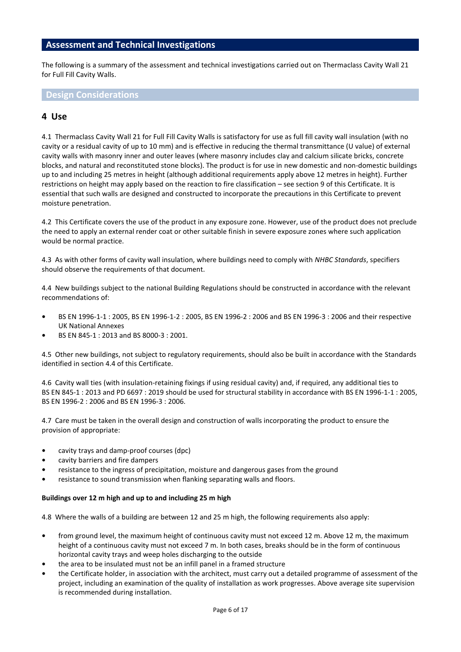#### **Assessment and Technical Investigations**

The following is a summary of the assessment and technical investigations carried out on Thermaclass Cavity Wall 21 for Full Fill Cavity Walls.

#### **Design Considerations**

#### **4 Use**

4.1 Thermaclass Cavity Wall 21 for Full Fill Cavity Walls is satisfactory for use as full fill cavity wall insulation (with no cavity or a residual cavity of up to 10 mm) and is effective in reducing the thermal transmittance (U value) of external cavity walls with masonry inner and outer leaves (where masonry includes clay and calcium silicate bricks, concrete blocks, and natural and reconstituted stone blocks). The product is for use in new domestic and non-domestic buildings up to and including 25 metres in height (although additional requirements apply above 12 metres in height). Further restrictions on height may apply based on the reaction to fire classification – see section 9 of this Certificate. It is essential that such walls are designed and constructed to incorporate the precautions in this Certificate to prevent moisture penetration.

4.2 This Certificate covers the use of the product in any exposure zone. However, use of the product does not preclude the need to apply an external render coat or other suitable finish in severe exposure zones where such application would be normal practice.

4.3 As with other forms of cavity wall insulation, where buildings need to comply with *NHBC Standards*, specifiers should observe the requirements of that document.

4.4 New buildings subject to the national Building Regulations should be constructed in accordance with the relevant recommendations of:

- **•** BS EN 1996-1-1 : 2005, BS EN 1996-1-2 : 2005, BS EN 1996-2 : 2006 and BS EN 1996-3 : 2006 and their respective UK National Annexes
- **•** BS EN 845-1 : 2013 and BS 8000-3 : 2001.

4.5 Other new buildings, not subject to regulatory requirements, should also be built in accordance with the Standards identified in section 4.4 of this Certificate.

4.6 Cavity wall ties (with insulation-retaining fixings if using residual cavity) and, if required, any additional ties to BS EN 845-1 : 2013 and PD 6697 : 2019 should be used for structural stability in accordance with BS EN 1996-1-1 : 2005, BS EN 1996-2 : 2006 and BS EN 1996-3 : 2006.

4.7 Care must be taken in the overall design and construction of walls incorporating the product to ensure the provision of appropriate:

- **•** cavity trays and damp-proof courses (dpc)
- **•** cavity barriers and fire dampers
- **•** resistance to the ingress of precipitation, moisture and dangerous gases from the ground
- **•** resistance to sound transmission when flanking separating walls and floors.

#### **Buildings over 12 m high and up to and including 25 m high**

4.8 Where the walls of a building are between 12 and 25 m high, the following requirements also apply:

- **•** from ground level, the maximum height of continuous cavity must not exceed 12 m. Above 12 m, the maximum height of a continuous cavity must not exceed 7 m. In both cases, breaks should be in the form of continuous horizontal cavity trays and weep holes discharging to the outside
- **•** the area to be insulated must not be an infill panel in a framed structure
- **•** the Certificate holder, in association with the architect, must carry out a detailed programme of assessment of the project, including an examination of the quality of installation as work progresses. Above average site supervision is recommended during installation.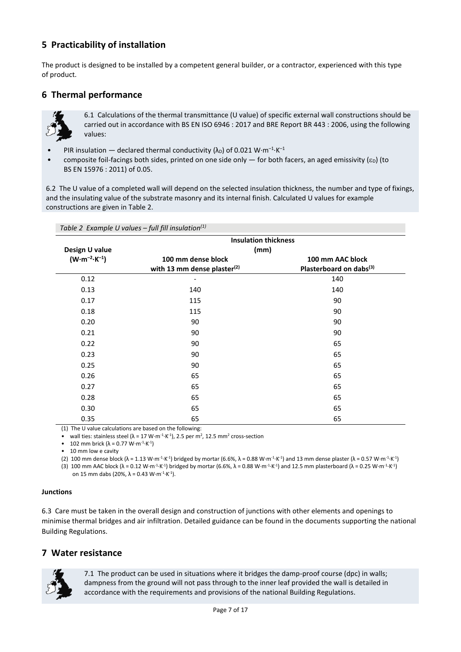# **5 Practicability of installation**

The product is designed to be installed by a competent general builder, or a contractor, experienced with this type of product.

# **6 Thermal performance**



6.1 Calculations of the thermal transmittance (U value) of specific external wall constructions should be carried out in accordance with BS EN ISO 6946 : 2017 and BRE Report BR 443 : 2006, using the following values:

- PIR insulation declared thermal conductivity  $(\lambda_D)$  of 0.021 W·m<sup>-1</sup>·K<sup>-1</sup>
- composite foil-facings both sides, printed on one side only  $-$  for both facers, an aged emissivity ( $\varepsilon$ ) (to BS EN 15976 : 2011) of 0.05.

6.2 The U value of a completed wall will depend on the selected insulation thickness, the number and type of fixings, and the insulating value of the substrate masonry and its internal finish. Calculated U values for example constructions are given in Table 2.

*Table 2 Example U values – full fill insulation(1)*

|                                 | <b>Insulation thickness</b>             |                                     |  |
|---------------------------------|-----------------------------------------|-------------------------------------|--|
| Design U value                  | (mm)                                    |                                     |  |
| $(W \cdot m^{-2} \cdot K^{-1})$ | 100 mm dense block                      | 100 mm AAC block                    |  |
|                                 | with 13 mm dense plaster <sup>(2)</sup> | Plasterboard on dabs <sup>(3)</sup> |  |
| 0.12                            |                                         | 140                                 |  |
| 0.13                            | 140                                     | 140                                 |  |
| 0.17                            | 115                                     | 90                                  |  |
| 0.18                            | 115                                     | 90                                  |  |
| 0.20                            | 90                                      | 90                                  |  |
| 0.21                            | 90                                      | 90                                  |  |
| 0.22                            | 90                                      | 65                                  |  |
| 0.23                            | 90                                      | 65                                  |  |
| 0.25                            | 90                                      | 65                                  |  |
| 0.26                            | 65                                      | 65                                  |  |
| 0.27                            | 65                                      | 65                                  |  |
| 0.28                            | 65                                      | 65                                  |  |
| 0.30                            | 65                                      | 65                                  |  |
| 0.35                            | 65                                      | 65                                  |  |

(1) The U value calculations are based on the following:

• wall ties: stainless steel ( $\lambda = 17$  W⋅m<sup>-1</sup>⋅K<sup>-1</sup>), 2.5 per m<sup>2</sup>, 12.5 mm<sup>2</sup> cross-section

• 102 mm brick (λ = 0.77 W⋅m<sup>-1</sup>⋅K<sup>-1</sup>)

• 10 mm low e cavity

(2) 100 mm dense block ( $\lambda = 1.13$  W⋅m<sup>-1</sup>⋅K<sup>-1</sup>) bridged by mortar (6.6%,  $\lambda = 0.88$  W⋅m<sup>-1</sup>⋅K<sup>+</sup>1) and 13 mm dense plaster ( $\lambda = 0.57$  W⋅m<sup>-1</sup>⋅K<sup>-1</sup>) (3) 100 mm AAC block ( $\lambda$  = 0.12 W⋅m<sup>-1</sup>⋅K<sup>-1</sup>) bridged by mortar (6.6%,  $\lambda$  = 0.88 W⋅m<sup>-1</sup>⋅K<sup>-1</sup>) and 12.5 mm plasterboard ( $\lambda$  = 0.25 W⋅m<sup>-1</sup>⋅K<sup>-1</sup>)

on 15 mm dabs (20%,  $\lambda$  = 0.43 W⋅m<sup>-1</sup>⋅K<sup>-1</sup>).

#### **Junctions**

6.3 Care must be taken in the overall design and construction of junctions with other elements and openings to minimise thermal bridges and air infiltration. Detailed guidance can be found in the documents supporting the national Building Regulations.

#### **7 Water resistance**



7.1 The product can be used in situations where it bridges the damp-proof course (dpc) in walls; dampness from the ground will not pass through to the inner leaf provided the wall is detailed in accordance with the requirements and provisions of the national Building Regulations.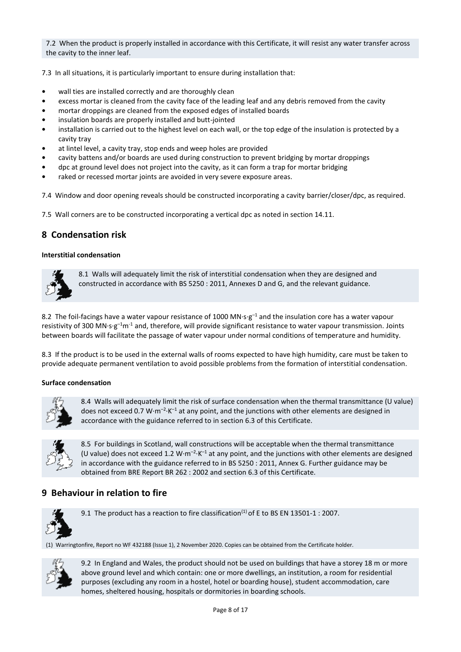7.2 When the product is properly installed in accordance with this Certificate, it will resist any water transfer across the cavity to the inner leaf.

7.3 In all situations, it is particularly important to ensure during installation that:

- **•** wall ties are installed correctly and are thoroughly clean
- **•** excess mortar is cleaned from the cavity face of the leading leaf and any debris removed from the cavity
- **•** mortar droppings are cleaned from the exposed edges of installed boards
- **•** insulation boards are properly installed and butt-jointed
- **•** installation is carried out to the highest level on each wall, or the top edge of the insulation is protected by a cavity tray
- **•** at lintel level, a cavity tray, stop ends and weep holes are provided
- **•** cavity battens and/or boards are used during construction to prevent bridging by mortar droppings
- **•** dpc at ground level does not project into the cavity, as it can form a trap for mortar bridging
- **•** raked or recessed mortar joints are avoided in very severe exposure areas.

7.4 Window and door opening reveals should be constructed incorporating a cavity barrier/closer/dpc, as required.

7.5 Wall corners are to be constructed incorporating a vertical dpc as noted in section 14.11.

# **8 Condensation risk**

#### **Interstitial condensation**



8.1 Walls will adequately limit the risk of interstitial condensation when they are designed and constructed in accordance with BS 5250 : 2011, Annexes D and G, and the relevant guidance.

8.2 The foil-facings have a water vapour resistance of 1000 MN·s·g<sup>-1</sup> and the insulation core has a water vapour resistivity of 300 MN·s·g<sup>-1</sup>m<sup>-1</sup> and, therefore, will provide significant resistance to water vapour transmission. Joints between boards will facilitate the passage of water vapour under normal conditions of temperature and humidity.

8.3 If the product is to be used in the external walls of rooms expected to have high humidity, care must be taken to provide adequate permanent ventilation to avoid possible problems from the formation of interstitial condensation.

#### **Surface condensation**



8.4 Walls will adequately limit the risk of surface condensation when the thermal transmittance (U value) does not exceed 0.7 W $\cdot$ m<sup>-2</sup> $\cdot$ K<sup>-1</sup> at any point, and the junctions with other elements are designed in accordance with the guidance referred to in section 6.3 of this Certificate.



8.5 For buildings in Scotland, wall constructions will be acceptable when the thermal transmittance (U value) does not exceed 1.2 W $\cdot$ m<sup>-2</sup> $\cdot$ K<sup>-1</sup> at any point, and the junctions with other elements are designed in accordance with the guidance referred to in BS 5250 : 2011, Annex G. Further guidance may be obtained from BRE Report BR 262 : 2002 and section 6.3 of this Certificate.

# **9 Behaviour in relation to fire**



9.1 The product has a reaction to fire classification<sup>(1)</sup> of E to BS EN 13501-1 : 2007.

(1) Warringtonfire, Report no WF 432188 (Issue 1), 2 November 2020. Copies can be obtained from the Certificate holder.



9.2 In England and Wales, the product should not be used on buildings that have a storey 18 m or more above ground level and which contain: one or more dwellings, an institution, a room for residential purposes (excluding any room in a hostel, hotel or boarding house), student accommodation, care homes, sheltered housing, hospitals or dormitories in boarding schools.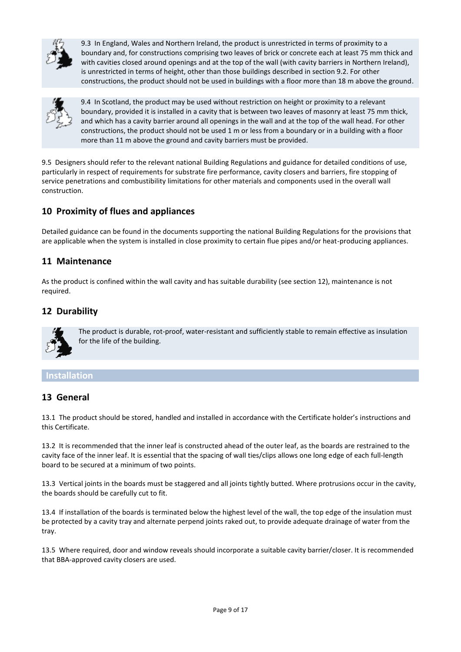

9.3 In England, Wales and Northern Ireland, the product is unrestricted in terms of proximity to a boundary and, for constructions comprising two leaves of brick or concrete each at least 75 mm thick and with cavities closed around openings and at the top of the wall (with cavity barriers in Northern Ireland), is unrestricted in terms of height, other than those buildings described in section 9.2. For other constructions, the product should not be used in buildings with a floor more than 18 m above the ground.



9.4 In Scotland, the product may be used without restriction on height or proximity to a relevant boundary, provided it is installed in a cavity that is between two leaves of masonry at least 75 mm thick, and which has a cavity barrier around all openings in the wall and at the top of the wall head. For other constructions, the product should not be used 1 m or less from a boundary or in a building with a floor more than 11 m above the ground and cavity barriers must be provided.

9.5 Designers should refer to the relevant national Building Regulations and guidance for detailed conditions of use, particularly in respect of requirements for substrate fire performance, cavity closers and barriers, fire stopping of service penetrations and combustibility limitations for other materials and components used in the overall wall construction.

# **10 Proximity of flues and appliances**

Detailed guidance can be found in the documents supporting the national Building Regulations for the provisions that are applicable when the system is installed in close proximity to certain flue pipes and/or heat-producing appliances.

## **11 Maintenance**

As the product is confined within the wall cavity and has suitable durability (see section 12), maintenance is not required.

# **12 Durability**



The product is durable, rot-proof, water-resistant and sufficiently stable to remain effective as insulation for the life of the building.

#### **Installation**

#### **13 General**

13.1 The product should be stored, handled and installed in accordance with the Certificate holder's instructions and this Certificate.

13.2 It is recommended that the inner leaf is constructed ahead of the outer leaf, as the boards are restrained to the cavity face of the inner leaf. It is essential that the spacing of wall ties/clips allows one long edge of each full-length board to be secured at a minimum of two points.

13.3 Vertical joints in the boards must be staggered and all joints tightly butted. Where protrusions occur in the cavity, the boards should be carefully cut to fit.

13.4 If installation of the boards is terminated below the highest level of the wall, the top edge of the insulation must be protected by a cavity tray and alternate perpend joints raked out, to provide adequate drainage of water from the tray.

13.5 Where required, door and window reveals should incorporate a suitable cavity barrier/closer. It is recommended that BBA-approved cavity closers are used.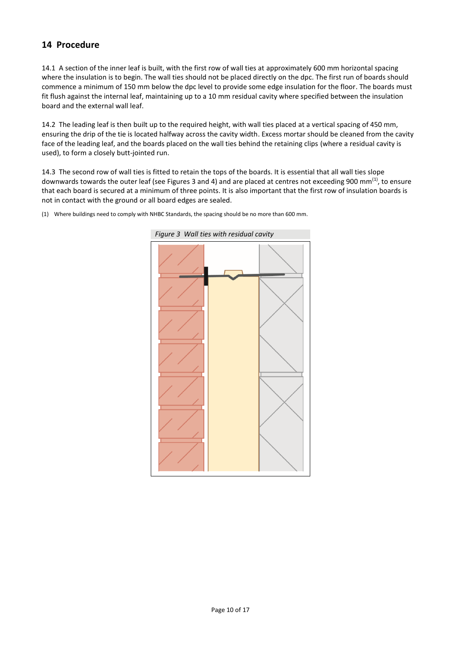# **14 Procedure**

14.1 A section of the inner leaf is built, with the first row of wall ties at approximately 600 mm horizontal spacing where the insulation is to begin. The wall ties should not be placed directly on the dpc. The first run of boards should commence a minimum of 150 mm below the dpc level to provide some edge insulation for the floor. The boards must fit flush against the internal leaf, maintaining up to a 10 mm residual cavity where specified between the insulation board and the external wall leaf.

14.2 The leading leaf is then built up to the required height, with wall ties placed at a vertical spacing of 450 mm, ensuring the drip of the tie is located halfway across the cavity width. Excess mortar should be cleaned from the cavity face of the leading leaf, and the boards placed on the wall ties behind the retaining clips (where a residual cavity is used), to form a closely butt-jointed run.

14.3 The second row of wall ties is fitted to retain the tops of the boards. It is essential that all wall ties slope downwards towards the outer leaf (see Figures 3 and 4) and are placed at centres not exceeding 900 mm<sup>(1)</sup>, to ensure that each board is secured at a minimum of three points. It is also important that the first row of insulation boards is not in contact with the ground or all board edges are sealed.



(1) Where buildings need to comply with NHBC Standards, the spacing should be no more than 600 mm.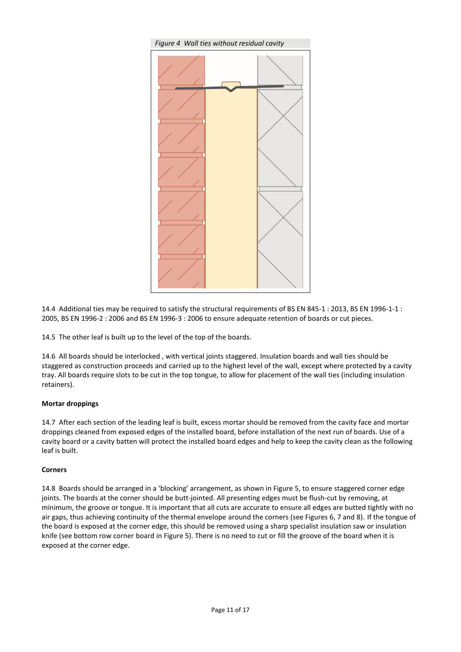

14.4 Additional ties may be required to satisfy the structural requirements of BS EN 845-1 : 2013, BS EN 1996-1-1 : 2005, BS EN 1996-2 : 2006 and BS EN 1996-3 : 2006 to ensure adequate retention of boards or cut pieces.

14.5 The other leaf is built up to the level of the top of the boards.

14.6 All boards should be interlocked , with vertical joints staggered. Insulation boards and wall ties should be staggered as construction proceeds and carried up to the highest level of the wall, except where protected by a cavity tray. All boards require slots to be cut in the top tongue, to allow for placement of the wall ties (including insulation retainers).

#### **Mortar droppings**

14.7 After each section of the leading leaf is built, excess mortar should be removed from the cavity face and mortar droppings cleaned from exposed edges of the installed board, before installation of the next run of boards. Use of a cavity board or a cavity batten will protect the installed board edges and help to keep the cavity clean as the following leaf is built.

#### **Corners**

14.8 Boards should be arranged in a 'blocking' arrangement, as shown in Figure 5, to ensure staggered corner edge joints. The boards at the corner should be butt-jointed. All presenting edges must be flush-cut by removing, at minimum, the groove or tongue. It is important that all cuts are accurate to ensure all edges are butted tightly with no air gaps, thus achieving continuity of the thermal envelope around the corners (see Figures 6, 7 and 8). If the tongue of the board is exposed at the corner edge, this should be removed using a sharp specialist insulation saw or insulation knife (see bottom row corner board in Figure 5). There is no need to cut or fill the groove of the board when it is exposed at the corner edge.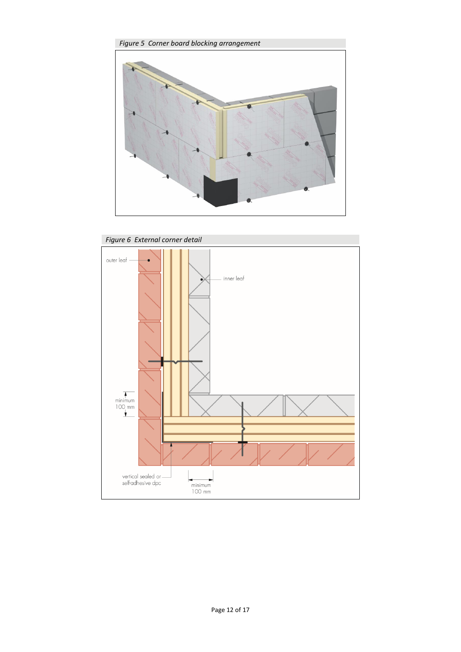

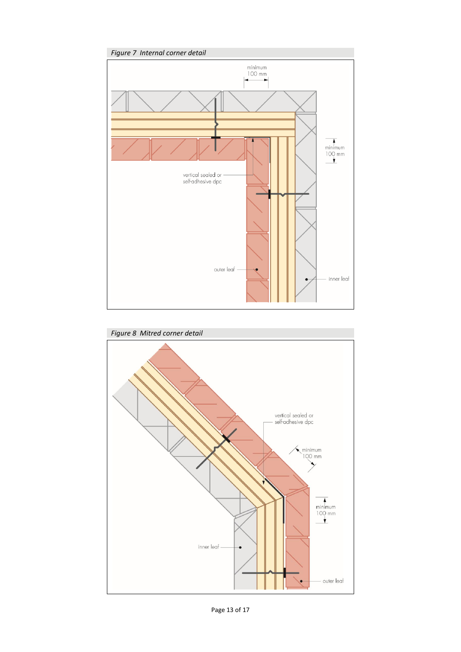

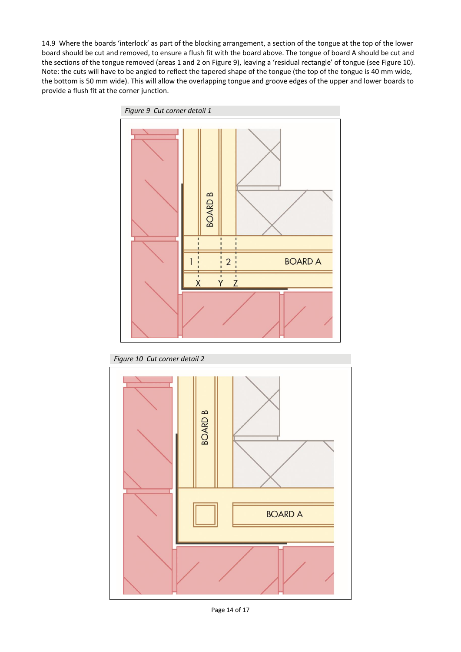14.9 Where the boards 'interlock' as part of the blocking arrangement, a section of the tongue at the top of the lower board should be cut and removed, to ensure a flush fit with the board above. The tongue of board A should be cut and the sections of the tongue removed (areas 1 and 2 on Figure 9), leaving a 'residual rectangle' of tongue (see Figure 10). Note: the cuts will have to be angled to reflect the tapered shape of the tongue (the top of the tongue is 40 mm wide, the bottom is 50 mm wide). This will allow the overlapping tongue and groove edges of the upper and lower boards to provide a flush fit at the corner junction.



*Figure 10 Cut corner detail 2*

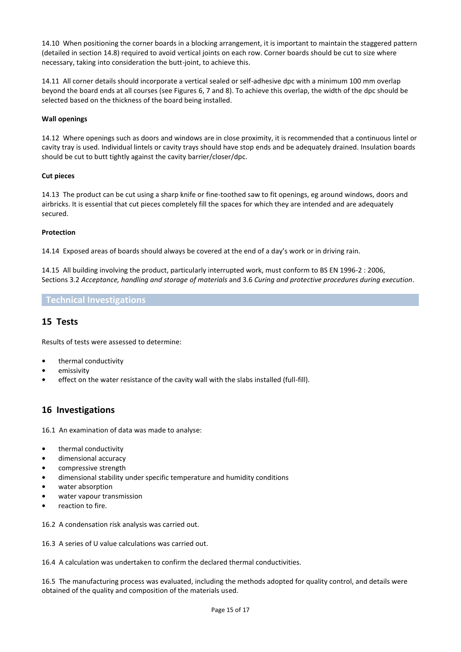14.10 When positioning the corner boards in a blocking arrangement, it is important to maintain the staggered pattern (detailed in section 14.8) required to avoid vertical joints on each row. Corner boards should be cut to size where necessary, taking into consideration the butt-joint, to achieve this.

14.11 All corner details should incorporate a vertical sealed or self-adhesive dpc with a minimum 100 mm overlap beyond the board ends at all courses (see Figures 6, 7 and 8). To achieve this overlap, the width of the dpc should be selected based on the thickness of the board being installed.

#### **Wall openings**

14.12 Where openings such as doors and windows are in close proximity, it is recommended that a continuous lintel or cavity tray is used. Individual lintels or cavity trays should have stop ends and be adequately drained. Insulation boards should be cut to butt tightly against the cavity barrier/closer/dpc.

#### **Cut pieces**

14.13 The product can be cut using a sharp knife or fine-toothed saw to fit openings, eg around windows, doors and airbricks. It is essential that cut pieces completely fill the spaces for which they are intended and are adequately secured.

#### **Protection**

14.14 Exposed areas of boards should always be covered at the end of a day's work or in driving rain.

14.15 All building involving the product, particularly interrupted work, must conform to BS EN 1996-2 : 2006, Sections 3.2 *Acceptance, handling and storage of materials* and 3.6 *Curing and protective procedures during execution*.

#### **Technical Investigations**

### **15 Tests**

Results of tests were assessed to determine:

- **•** thermal conductivity
- **•** emissivity
- **•** effect on the water resistance of the cavity wall with the slabs installed (full-fill).

#### **16 Investigations**

16.1 An examination of data was made to analyse:

- **•** thermal conductivity
- **•** dimensional accuracy
- **•** compressive strength
- **•** dimensional stability under specific temperature and humidity conditions
- **•** water absorption
- **•** water vapour transmission
- **•** reaction to fire.

16.2 A condensation risk analysis was carried out.

16.3 A series of U value calculations was carried out.

16.4 A calculation was undertaken to confirm the declared thermal conductivities.

16.5 The manufacturing process was evaluated, including the methods adopted for quality control, and details were obtained of the quality and composition of the materials used.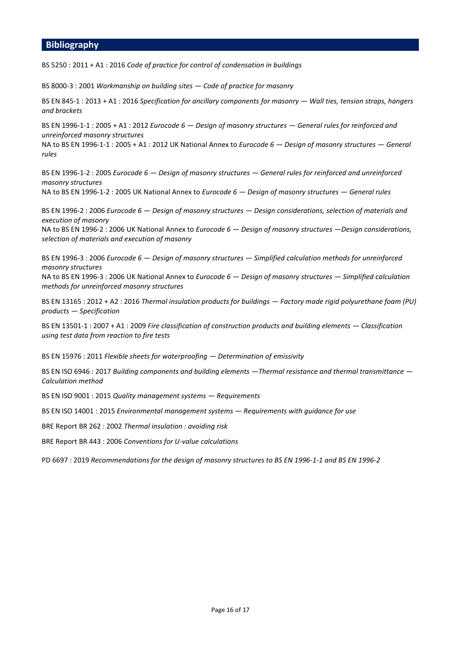#### **Bibliography**

BS 5250 : 2011 + A1 : 2016 *Code of practice for control of condensation in buildings* 

BS 8000-3 : 2001 *Workmanship on building sites — Code of practice for masonry*

BS EN 845-1 : 2013 + A1 : 2016 *Specification for ancillary components for masonry — Wall ties, tension straps, hangers and brackets*

BS EN 1996-1-1 : 2005 + A1 : 2012 *Eurocode 6 — Design of masonry structures — General rules for reinforced and unreinforced masonry structures*

NA to BS EN 1996-1-1 : 2005 + A1 : 2012 UK National Annex to *Eurocode 6 — Design of masonry structures — General rules*

BS EN 1996-1-2 : 2005 *Eurocode 6 — Design of masonry structures — General rules for reinforced and unreinforced masonry structures*

NA to BS EN 1996-1-2 : 2005 UK National Annex to *Eurocode 6 — Design of masonry structures — General rules* 

BS EN 1996-2 : 2006 *Eurocode 6 — Design of masonry structures — Design considerations, selection of materials and execution of masonry*

NA to BS EN 1996-2 : 2006 UK National Annex to *Eurocode 6 — Design of masonry structures —Design considerations, selection of materials and execution of masonry*

BS EN 1996-3 : 2006 *Eurocode 6 — Design of masonry structures — Simplified calculation methods for unreinforced masonry structures*

NA to BS EN 1996-3 : 2006 UK National Annex to *Eurocode 6 — Design of masonry structures — Simplified calculation methods for unreinforced masonry structures*

BS EN 13165 : 2012 + A2 : 2016 *Thermal insulation products for buildings — Factory made rigid polyurethane foam (PU) products — Specification*

BS EN 13501-1 : 2007 + A1 : 2009 *Fire classification of construction products and building elements — Classification using test data from reaction to fire tests*

BS EN 15976 : 2011 *Flexible sheets for waterproofing — Determination of emissivity*

BS EN ISO 6946 : 2017 *Building components and building elements —Thermal resistance and thermal transmittance — Calculation method*

BS EN ISO 9001 : 2015 *Quality management systems — Requirements*

BS EN ISO 14001 : 2015 *Environmental management systems — Requirements with guidance for use* 

BRE Report BR 262 : 2002 *Thermal insulation : avoiding risk*

BRE Report BR 443 : 2006 *Conventions for U-value calculations*

PD 6697 : 2019 *Recommendations for the design of masonry structures to BS EN 1996-1-1 and BS EN 1996-2*